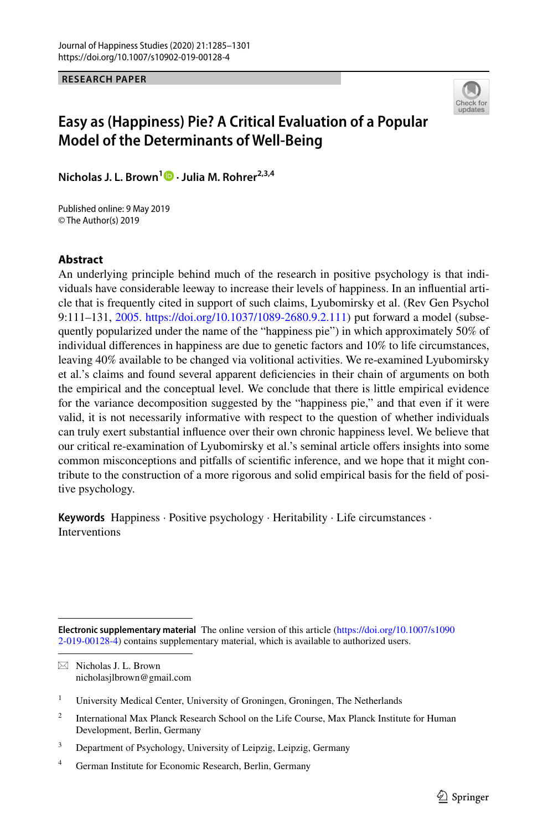**RESEARCH PAPER**



# **Easy as (Happiness) Pie? A Critical Evaluation of a Popular Model of the Determinants of Well‑Being**

**Nicholas J. L. Brown1  [·](http://orcid.org/0000-0003-1579-0730) Julia M. Rohrer2,3,4**

Published online: 9 May 2019 © The Author(s) 2019

#### **Abstract**

An underlying principle behind much of the research in positive psychology is that individuals have considerable leeway to increase their levels of happiness. In an infuential article that is frequently cited in support of such claims, Lyubomirsky et al. (Rev Gen Psychol 9:111–131, [2005.](#page-15-0) <https://doi.org/10.1037/1089-2680.9.2.111>) put forward a model (subsequently popularized under the name of the "happiness pie") in which approximately 50% of individual diferences in happiness are due to genetic factors and 10% to life circumstances, leaving 40% available to be changed via volitional activities. We re-examined Lyubomirsky et al.'s claims and found several apparent defciencies in their chain of arguments on both the empirical and the conceptual level. We conclude that there is little empirical evidence for the variance decomposition suggested by the "happiness pie," and that even if it were valid, it is not necessarily informative with respect to the question of whether individuals can truly exert substantial infuence over their own chronic happiness level. We believe that our critical re-examination of Lyubomirsky et al.'s seminal article offers insights into some common misconceptions and pitfalls of scientifc inference, and we hope that it might contribute to the construction of a more rigorous and solid empirical basis for the feld of positive psychology.

**Keywords** Happiness · Positive psychology · Heritability · Life circumstances · Interventions

 $\boxtimes$  Nicholas J. L. Brown nicholasjlbrown@gmail.com

- <sup>2</sup> International Max Planck Research School on the Life Course, Max Planck Institute for Human Development, Berlin, Germany
- <sup>3</sup> Department of Psychology, University of Leipzig, Leipzig, Germany
- <sup>4</sup> German Institute for Economic Research, Berlin, Germany

**Electronic supplementary material** The online version of this article [\(https://doi.org/10.1007/s1090](https://doi.org/10.1007/s10902-019-00128-4) [2-019-00128-4\)](https://doi.org/10.1007/s10902-019-00128-4) contains supplementary material, which is available to authorized users.

<sup>&</sup>lt;sup>1</sup> University Medical Center, University of Groningen, Groningen, The Netherlands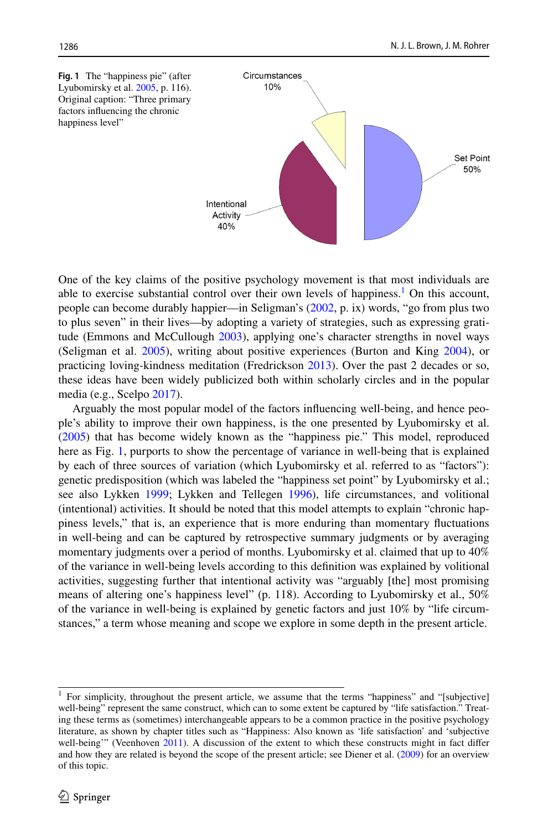<span id="page-1-1"></span>

One of the key claims of the positive psychology movement is that most individuals are able to exercise substantial control over their own levels of happiness.<sup>[1](#page-1-0)</sup> On this account, people can become durably happier—in Seligman's ([2002,](#page-16-0) p. ix) words, "go from plus two to plus seven" in their lives—by adopting a variety of strategies, such as expressing gratitude (Emmons and McCullough [2003](#page-14-0)), applying one's character strengths in novel ways (Seligman et al. [2005\)](#page-16-1), writing about positive experiences (Burton and King [2004](#page-14-1)), or practicing loving-kindness meditation (Fredrickson [2013\)](#page-14-2). Over the past 2 decades or so, these ideas have been widely publicized both within scholarly circles and in the popular media (e.g., Scelpo [2017](#page-16-2)).

Arguably the most popular model of the factors infuencing well-being, and hence people's ability to improve their own happiness, is the one presented by Lyubomirsky et al. ([2005\)](#page-15-0) that has become widely known as the "happiness pie." This model, reproduced here as Fig. [1](#page-1-1), purports to show the percentage of variance in well-being that is explained by each of three sources of variation (which Lyubomirsky et al. referred to as "factors"): genetic predisposition (which was labeled the "happiness set point" by Lyubomirsky et al.; see also Lykken [1999](#page-15-1); Lykken and Tellegen [1996](#page-15-2)), life circumstances, and volitional (intentional) activities. It should be noted that this model attempts to explain "chronic happiness levels," that is, an experience that is more enduring than momentary fuctuations in well-being and can be captured by retrospective summary judgments or by averaging momentary judgments over a period of months. Lyubomirsky et al. claimed that up to 40% of the variance in well-being levels according to this defnition was explained by volitional activities, suggesting further that intentional activity was "arguably [the] most promising means of altering one's happiness level" (p. 118). According to Lyubomirsky et al., 50% of the variance in well-being is explained by genetic factors and just 10% by "life circumstances," a term whose meaning and scope we explore in some depth in the present article.

<span id="page-1-0"></span><sup>1</sup> For simplicity, throughout the present article, we assume that the terms "happiness" and "[subjective] well-being" represent the same construct, which can to some extent be captured by "life satisfaction." Treating these terms as (sometimes) interchangeable appears to be a common practice in the positive psychology literature, as shown by chapter titles such as "Happiness: Also known as 'life satisfaction' and 'subjective well-being'" (Veenhoven [2011\)](#page-16-3). A discussion of the extent to which these constructs might in fact differ and how they are related is beyond the scope of the present article; see Diener et al. [\(2009](#page-14-3)) for an overview of this topic.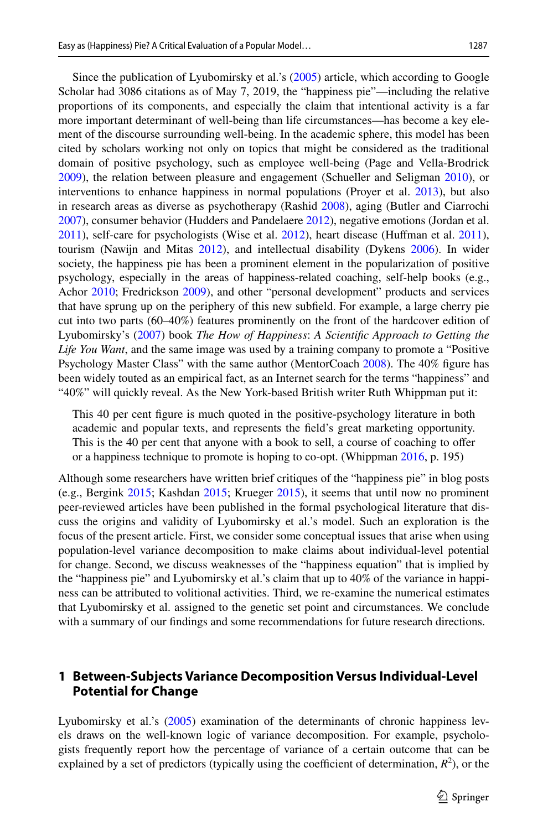Since the publication of Lyubomirsky et al.'s ([2005\)](#page-15-0) article, which according to Google Scholar had 3086 citations as of May 7, 2019, the "happiness pie"—including the relative proportions of its components, and especially the claim that intentional activity is a far more important determinant of well-being than life circumstances—has become a key element of the discourse surrounding well-being. In the academic sphere, this model has been cited by scholars working not only on topics that might be considered as the traditional domain of positive psychology, such as employee well-being (Page and Vella-Brodrick [2009\)](#page-15-3), the relation between pleasure and engagement (Schueller and Seligman [2010\)](#page-16-4), or interventions to enhance happiness in normal populations (Proyer et al. [2013](#page-16-5)), but also in research areas as diverse as psychotherapy (Rashid [2008\)](#page-16-6), aging (Butler and Ciarrochi [2007\)](#page-14-4), consumer behavior (Hudders and Pandelaere [2012\)](#page-15-4), negative emotions (Jordan et al. [2011\)](#page-15-5), self-care for psychologists (Wise et al. [2012\)](#page-16-7), heart disease (Hufman et al. [2011](#page-15-6)), tourism (Nawijn and Mitas [2012\)](#page-15-7), and intellectual disability (Dykens [2006\)](#page-14-5). In wider society, the happiness pie has been a prominent element in the popularization of positive psychology, especially in the areas of happiness-related coaching, self-help books (e.g., Achor [2010](#page-14-6); Fredrickson [2009\)](#page-14-7), and other "personal development" products and services that have sprung up on the periphery of this new subfeld. For example, a large cherry pie cut into two parts (60–40%) features prominently on the front of the hardcover edition of Lyubomirsky's [\(2007](#page-15-8)) book *The How of Happiness*: *A Scientifc Approach to Getting the Life You Want*, and the same image was used by a training company to promote a "Positive Psychology Master Class" with the same author (MentorCoach [2008](#page-15-9)). The 40% fgure has been widely touted as an empirical fact, as an Internet search for the terms "happiness" and "40%" will quickly reveal. As the New York-based British writer Ruth Whippman put it:

This 40 per cent fgure is much quoted in the positive-psychology literature in both academic and popular texts, and represents the feld's great marketing opportunity. This is the 40 per cent that anyone with a book to sell, a course of coaching to ofer or a happiness technique to promote is hoping to co-opt. (Whippman [2016,](#page-16-8) p. 195)

Although some researchers have written brief critiques of the "happiness pie" in blog posts (e.g., Bergink [2015](#page-14-8); Kashdan [2015](#page-15-10); Krueger [2015](#page-15-11)), it seems that until now no prominent peer-reviewed articles have been published in the formal psychological literature that discuss the origins and validity of Lyubomirsky et al.'s model. Such an exploration is the focus of the present article. First, we consider some conceptual issues that arise when using population-level variance decomposition to make claims about individual-level potential for change. Second, we discuss weaknesses of the "happiness equation" that is implied by the "happiness pie" and Lyubomirsky et al.'s claim that up to 40% of the variance in happiness can be attributed to volitional activities. Third, we re-examine the numerical estimates that Lyubomirsky et al. assigned to the genetic set point and circumstances. We conclude with a summary of our fndings and some recommendations for future research directions.

### **1 Between‑Subjects Variance Decomposition Versus Individual‑Level Potential for Change**

Lyubomirsky et al.'s ([2005\)](#page-15-0) examination of the determinants of chronic happiness levels draws on the well-known logic of variance decomposition. For example, psychologists frequently report how the percentage of variance of a certain outcome that can be explained by a set of predictors (typically using the coefficient of determination,  $R^2$ ), or the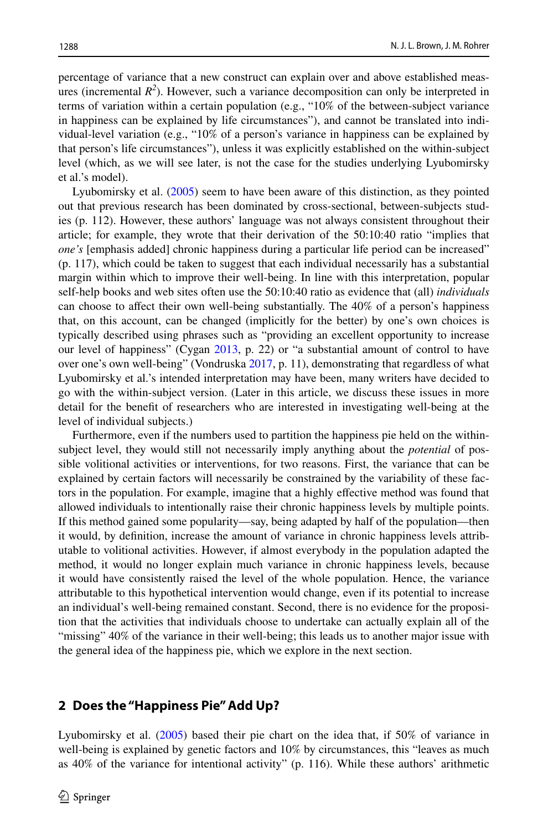percentage of variance that a new construct can explain over and above established measures (incremental  $R^2$ ). However, such a variance decomposition can only be interpreted in terms of variation within a certain population (e.g., "10% of the between-subject variance in happiness can be explained by life circumstances"), and cannot be translated into individual-level variation (e.g., "10% of a person's variance in happiness can be explained by that person's life circumstances"), unless it was explicitly established on the within-subject level (which, as we will see later, is not the case for the studies underlying Lyubomirsky et al.'s model).

Lyubomirsky et al. ([2005\)](#page-15-0) seem to have been aware of this distinction, as they pointed out that previous research has been dominated by cross-sectional, between-subjects studies (p. 112). However, these authors' language was not always consistent throughout their article; for example, they wrote that their derivation of the 50:10:40 ratio "implies that *one's* [emphasis added] chronic happiness during a particular life period can be increased" (p. 117), which could be taken to suggest that each individual necessarily has a substantial margin within which to improve their well-being. In line with this interpretation, popular self-help books and web sites often use the 50:10:40 ratio as evidence that (all) *individuals* can choose to afect their own well-being substantially. The 40% of a person's happiness that, on this account, can be changed (implicitly for the better) by one's own choices is typically described using phrases such as "providing an excellent opportunity to increase our level of happiness" (Cygan [2013,](#page-14-9) p. 22) or "a substantial amount of control to have over one's own well-being" (Vondruska [2017,](#page-16-9) p. 11), demonstrating that regardless of what Lyubomirsky et al.'s intended interpretation may have been, many writers have decided to go with the within-subject version. (Later in this article, we discuss these issues in more detail for the beneft of researchers who are interested in investigating well-being at the level of individual subjects.)

Furthermore, even if the numbers used to partition the happiness pie held on the withinsubject level, they would still not necessarily imply anything about the *potential* of possible volitional activities or interventions, for two reasons. First, the variance that can be explained by certain factors will necessarily be constrained by the variability of these factors in the population. For example, imagine that a highly efective method was found that allowed individuals to intentionally raise their chronic happiness levels by multiple points. If this method gained some popularity—say, being adapted by half of the population—then it would, by defnition, increase the amount of variance in chronic happiness levels attributable to volitional activities. However, if almost everybody in the population adapted the method, it would no longer explain much variance in chronic happiness levels, because it would have consistently raised the level of the whole population. Hence, the variance attributable to this hypothetical intervention would change, even if its potential to increase an individual's well-being remained constant. Second, there is no evidence for the proposition that the activities that individuals choose to undertake can actually explain all of the "missing" 40% of the variance in their well-being; this leads us to another major issue with the general idea of the happiness pie, which we explore in the next section.

### **2 Does the "Happiness Pie" Add Up?**

Lyubomirsky et al. [\(2005](#page-15-0)) based their pie chart on the idea that, if 50% of variance in well-being is explained by genetic factors and 10% by circumstances, this "leaves as much as 40% of the variance for intentional activity" (p. 116). While these authors' arithmetic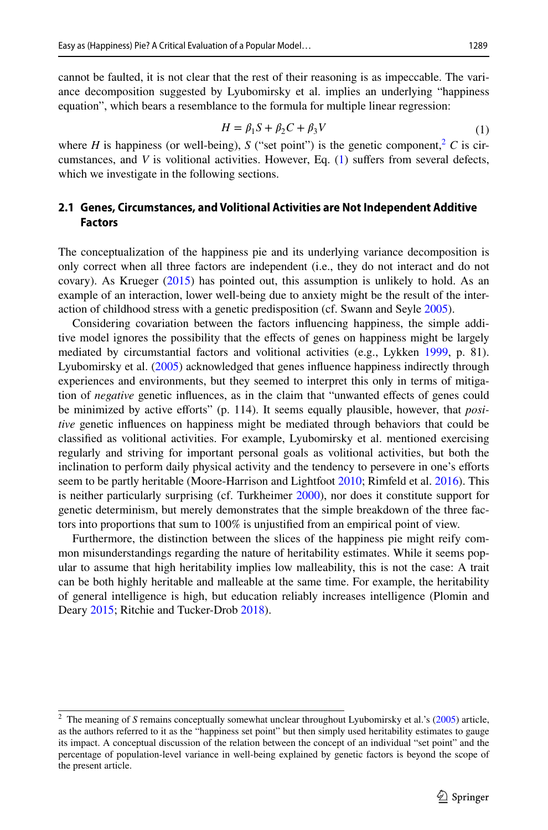cannot be faulted, it is not clear that the rest of their reasoning is as impeccable. The variance decomposition suggested by Lyubomirsky et al. implies an underlying "happiness equation", which bears a resemblance to the formula for multiple linear regression:

<span id="page-4-1"></span>
$$
H = \beta_1 S + \beta_2 C + \beta_3 V \tag{1}
$$

where *H* is happiness (or well-being), *S* ("set point") is the genetic component,  $\frac{2}{x}$  *C* is circumstances, and *V* is volitional activities. However, Eq. ([1](#page-4-1)) sufers from several defects, which we investigate in the following sections.

## **2.1 Genes, Circumstances, and Volitional Activities are Not Independent Additive Factors**

The conceptualization of the happiness pie and its underlying variance decomposition is only correct when all three factors are independent (i.e., they do not interact and do not covary). As Krueger ([2015\)](#page-15-11) has pointed out, this assumption is unlikely to hold. As an example of an interaction, lower well-being due to anxiety might be the result of the interaction of childhood stress with a genetic predisposition (cf. Swann and Seyle [2005](#page-16-10)).

Considering covariation between the factors infuencing happiness, the simple additive model ignores the possibility that the efects of genes on happiness might be largely mediated by circumstantial factors and volitional activities (e.g., Lykken [1999,](#page-15-1) p. 81). Lyubomirsky et al. ([2005\)](#page-15-0) acknowledged that genes infuence happiness indirectly through experiences and environments, but they seemed to interpret this only in terms of mitigation of *negative* genetic infuences, as in the claim that "unwanted efects of genes could be minimized by active eforts" (p. 114). It seems equally plausible, however, that *positive* genetic infuences on happiness might be mediated through behaviors that could be classifed as volitional activities. For example, Lyubomirsky et al. mentioned exercising regularly and striving for important personal goals as volitional activities, but both the inclination to perform daily physical activity and the tendency to persevere in one's efforts seem to be partly heritable (Moore-Harrison and Lightfoot [2010](#page-15-12); Rimfeld et al. [2016\)](#page-16-11). This is neither particularly surprising (cf. Turkheimer [2000\)](#page-16-12), nor does it constitute support for genetic determinism, but merely demonstrates that the simple breakdown of the three factors into proportions that sum to 100% is unjustifed from an empirical point of view.

Furthermore, the distinction between the slices of the happiness pie might reify common misunderstandings regarding the nature of heritability estimates. While it seems popular to assume that high heritability implies low malleability, this is not the case: A trait can be both highly heritable and malleable at the same time. For example, the heritability of general intelligence is high, but education reliably increases intelligence (Plomin and Deary [2015;](#page-15-13) Ritchie and Tucker-Drob [2018](#page-16-13)).

<span id="page-4-0"></span><sup>&</sup>lt;sup>2</sup> The meaning of *S* remains conceptually somewhat unclear throughout Lyubomirsky et al.'s ([2005\)](#page-15-0) article, as the authors referred to it as the "happiness set point" but then simply used heritability estimates to gauge its impact. A conceptual discussion of the relation between the concept of an individual "set point" and the percentage of population-level variance in well-being explained by genetic factors is beyond the scope of the present article.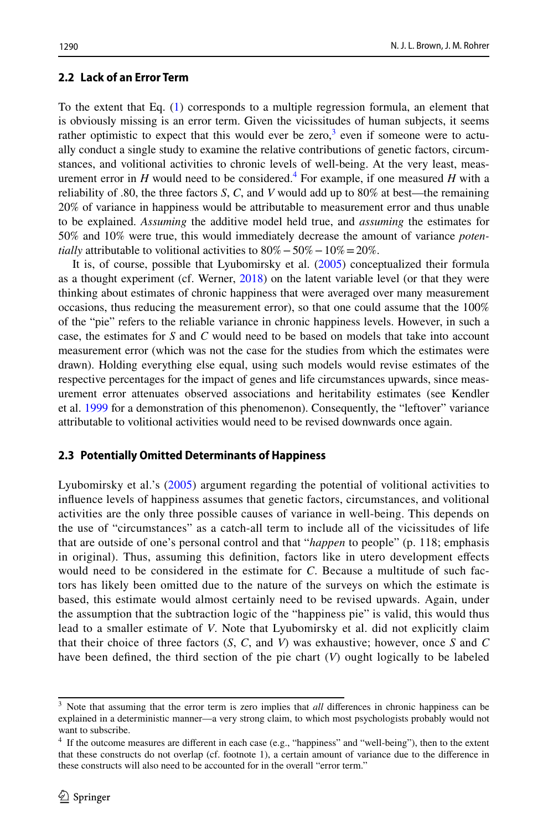#### **2.2 Lack of an Error Term**

To the extent that Eq. [\(1](#page-4-1)) corresponds to a multiple regression formula, an element that is obviously missing is an error term. Given the vicissitudes of human subjects, it seems rather optimistic to expect that this would ever be zero,<sup>[3](#page-5-0)</sup> even if someone were to actually conduct a single study to examine the relative contributions of genetic factors, circumstances, and volitional activities to chronic levels of well-being. At the very least, measurement error in  $H$  would need to be considered.<sup>4</sup> For example, if one measured  $H$  with a reliability of .80, the three factors *S*, *C*, and *V* would add up to 80% at best—the remaining 20% of variance in happiness would be attributable to measurement error and thus unable to be explained. *Assuming* the additive model held true, and *assuming* the estimates for 50% and 10% were true, this would immediately decrease the amount of variance *potentially* attributable to volitional activities to  $80\% - 50\% - 10\% = 20\%$ .

It is, of course, possible that Lyubomirsky et al. [\(2005](#page-15-0)) conceptualized their formula as a thought experiment (cf. Werner, [2018](#page-16-14)) on the latent variable level (or that they were thinking about estimates of chronic happiness that were averaged over many measurement occasions, thus reducing the measurement error), so that one could assume that the 100% of the "pie" refers to the reliable variance in chronic happiness levels. However, in such a case, the estimates for *S* and *C* would need to be based on models that take into account measurement error (which was not the case for the studies from which the estimates were drawn). Holding everything else equal, using such models would revise estimates of the respective percentages for the impact of genes and life circumstances upwards, since measurement error attenuates observed associations and heritability estimates (see Kendler et al. [1999](#page-15-14) for a demonstration of this phenomenon). Consequently, the "leftover" variance attributable to volitional activities would need to be revised downwards once again.

#### **2.3 Potentially Omitted Determinants of Happiness**

Lyubomirsky et al.'s ([2005](#page-15-0)) argument regarding the potential of volitional activities to infuence levels of happiness assumes that genetic factors, circumstances, and volitional activities are the only three possible causes of variance in well-being. This depends on the use of "circumstances" as a catch-all term to include all of the vicissitudes of life that are outside of one's personal control and that "*happen* to people" (p. 118; emphasis in original). Thus, assuming this defnition, factors like in utero development efects would need to be considered in the estimate for *C*. Because a multitude of such factors has likely been omitted due to the nature of the surveys on which the estimate is based, this estimate would almost certainly need to be revised upwards. Again, under the assumption that the subtraction logic of the "happiness pie" is valid, this would thus lead to a smaller estimate of *V*. Note that Lyubomirsky et al. did not explicitly claim that their choice of three factors (*S*, *C*, and *V*) was exhaustive; however, once *S* and *C* have been defned, the third section of the pie chart (*V*) ought logically to be labeled

<span id="page-5-0"></span>Note that assuming that the error term is zero implies that *all* differences in chronic happiness can be explained in a deterministic manner—a very strong claim, to which most psychologists probably would not want to subscribe.

<span id="page-5-1"></span><sup>4</sup> If the outcome measures are diferent in each case (e.g., "happiness" and "well-being"), then to the extent that these constructs do not overlap (cf. footnote 1), a certain amount of variance due to the diference in these constructs will also need to be accounted for in the overall "error term."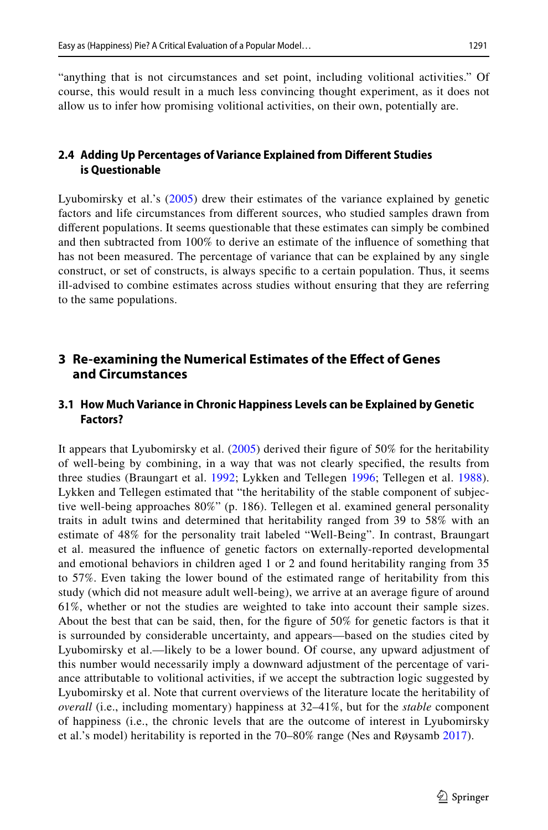"anything that is not circumstances and set point, including volitional activities." Of course, this would result in a much less convincing thought experiment, as it does not allow us to infer how promising volitional activities, on their own, potentially are.

## **2.4 Adding Up Percentages of Variance Explained from Diferent Studies is Questionable**

Lyubomirsky et al.'s ([2005](#page-15-0)) drew their estimates of the variance explained by genetic factors and life circumstances from diferent sources, who studied samples drawn from diferent populations. It seems questionable that these estimates can simply be combined and then subtracted from 100% to derive an estimate of the infuence of something that has not been measured. The percentage of variance that can be explained by any single construct, or set of constructs, is always specifc to a certain population. Thus, it seems ill-advised to combine estimates across studies without ensuring that they are referring to the same populations.

# **3 Re‑examining the Numerical Estimates of the Efect of Genes and Circumstances**

## **3.1 How Much Variance in Chronic Happiness Levels can be Explained by Genetic Factors?**

It appears that Lyubomirsky et al. ([2005\)](#page-15-0) derived their fgure of 50% for the heritability of well-being by combining, in a way that was not clearly specifed, the results from three studies (Braungart et al. [1992;](#page-14-10) Lykken and Tellegen [1996](#page-15-2); Tellegen et al. [1988\)](#page-16-15). Lykken and Tellegen estimated that "the heritability of the stable component of subjective well-being approaches 80%" (p. 186). Tellegen et al. examined general personality traits in adult twins and determined that heritability ranged from 39 to 58% with an estimate of 48% for the personality trait labeled "Well-Being". In contrast, Braungart et al. measured the infuence of genetic factors on externally-reported developmental and emotional behaviors in children aged 1 or 2 and found heritability ranging from 35 to 57%. Even taking the lower bound of the estimated range of heritability from this study (which did not measure adult well-being), we arrive at an average fgure of around 61%, whether or not the studies are weighted to take into account their sample sizes. About the best that can be said, then, for the fgure of 50% for genetic factors is that it is surrounded by considerable uncertainty, and appears—based on the studies cited by Lyubomirsky et al.—likely to be a lower bound. Of course, any upward adjustment of this number would necessarily imply a downward adjustment of the percentage of variance attributable to volitional activities, if we accept the subtraction logic suggested by Lyubomirsky et al. Note that current overviews of the literature locate the heritability of *overall* (i.e., including momentary) happiness at 32–41%, but for the *stable* component of happiness (i.e., the chronic levels that are the outcome of interest in Lyubomirsky et al.'s model) heritability is reported in the 70–80% range (Nes and Røysamb [2017\)](#page-15-15).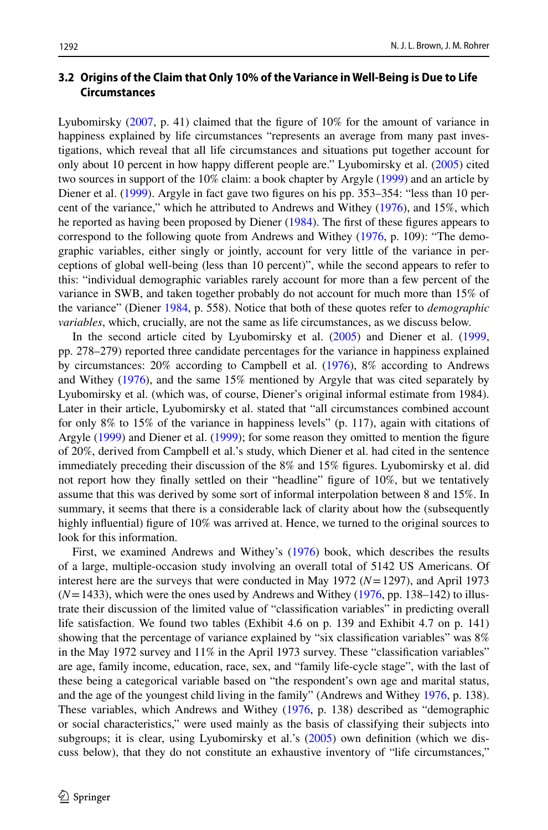### **3.2 Origins of the Claim that Only 10% of the Variance in Well‑Being is Due to Life Circumstances**

Lyubomirsky [\(2007](#page-15-8), p. 41) claimed that the figure of 10% for the amount of variance in happiness explained by life circumstances "represents an average from many past investigations, which reveal that all life circumstances and situations put together account for only about 10 percent in how happy diferent people are." Lyubomirsky et al. [\(2005](#page-15-0)) cited two sources in support of the 10% claim: a book chapter by Argyle [\(1999](#page-14-11)) and an article by Diener et al. ([1999\)](#page-14-12). Argyle in fact gave two figures on his pp. 353-354: "less than 10 percent of the variance," which he attributed to Andrews and Withey [\(1976](#page-14-13)), and 15%, which he reported as having been proposed by Diener ([1984\)](#page-14-14). The frst of these fgures appears to correspond to the following quote from Andrews and Withey ([1976,](#page-14-13) p. 109): "The demographic variables, either singly or jointly, account for very little of the variance in perceptions of global well-being (less than 10 percent)", while the second appears to refer to this: "individual demographic variables rarely account for more than a few percent of the variance in SWB, and taken together probably do not account for much more than 15% of the variance" (Diener [1984,](#page-14-14) p. 558). Notice that both of these quotes refer to *demographic variables*, which, crucially, are not the same as life circumstances, as we discuss below.

In the second article cited by Lyubomirsky et al. [\(2005](#page-15-0)) and Diener et al. [\(1999](#page-14-12), pp. 278–279) reported three candidate percentages for the variance in happiness explained by circumstances: 20% according to Campbell et al. ([1976\)](#page-14-15), 8% according to Andrews and Withey ([1976\)](#page-14-13), and the same 15% mentioned by Argyle that was cited separately by Lyubomirsky et al. (which was, of course, Diener's original informal estimate from 1984). Later in their article, Lyubomirsky et al. stated that "all circumstances combined account for only 8% to 15% of the variance in happiness levels" (p. 117), again with citations of Argyle ([1999\)](#page-14-11) and Diener et al. ([1999\)](#page-14-12); for some reason they omitted to mention the fgure of 20%, derived from Campbell et al.'s study, which Diener et al. had cited in the sentence immediately preceding their discussion of the 8% and 15% fgures. Lyubomirsky et al. did not report how they fnally settled on their "headline" fgure of 10%, but we tentatively assume that this was derived by some sort of informal interpolation between 8 and 15%. In summary, it seems that there is a considerable lack of clarity about how the (subsequently highly influential) figure of 10% was arrived at. Hence, we turned to the original sources to look for this information.

First, we examined Andrews and Withey's [\(1976](#page-14-13)) book, which describes the results of a large, multiple-occasion study involving an overall total of 5142 US Americans. Of interest here are the surveys that were conducted in May 1972 (*N*=1297), and April 1973  $(N=1433)$ , which were the ones used by Andrews and Withey [\(1976](#page-14-13), pp. 138–142) to illustrate their discussion of the limited value of "classifcation variables" in predicting overall life satisfaction. We found two tables (Exhibit 4.6 on p. 139 and Exhibit 4.7 on p. 141) showing that the percentage of variance explained by "six classifcation variables" was 8% in the May 1972 survey and 11% in the April 1973 survey. These "classifcation variables" are age, family income, education, race, sex, and "family life-cycle stage", with the last of these being a categorical variable based on "the respondent's own age and marital status, and the age of the youngest child living in the family" (Andrews and Withey [1976,](#page-14-13) p. 138). These variables, which Andrews and Withey ([1976,](#page-14-13) p. 138) described as "demographic or social characteristics," were used mainly as the basis of classifying their subjects into subgroups; it is clear, using Lyubomirsky et al.'s ([2005\)](#page-15-0) own definition (which we discuss below), that they do not constitute an exhaustive inventory of "life circumstances,"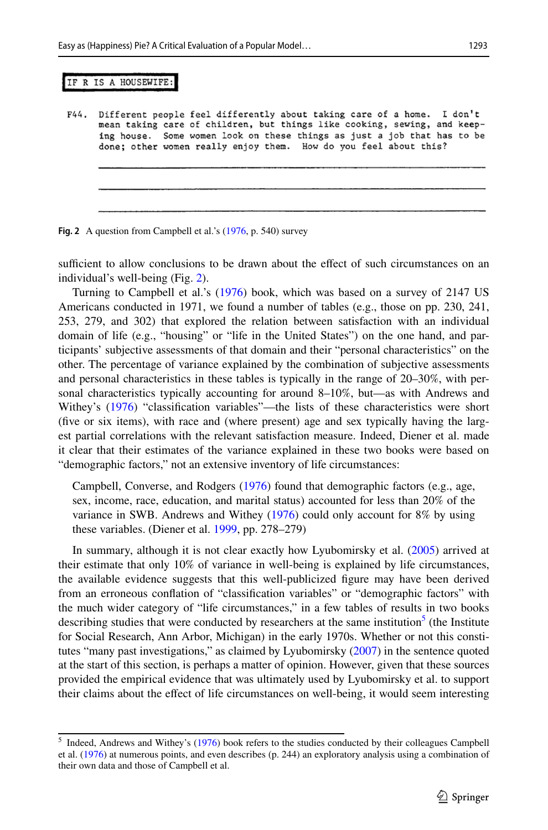#### IF R IS A HOUSEWIFE:

Different people feel differently about taking care of a home. I don't F44. mean taking care of children, but things like cooking, sewing, and keeping house. Some women look on these things as just a job that has to be done; other women really enjoy them. How do you feel about this?

<span id="page-8-0"></span>

sufficient to allow conclusions to be drawn about the effect of such circumstances on an individual's well-being (Fig. [2](#page-8-0)).

Turning to Campbell et al.'s [\(1976](#page-14-15)) book, which was based on a survey of 2147 US Americans conducted in 1971, we found a number of tables (e.g., those on pp. 230, 241, 253, 279, and 302) that explored the relation between satisfaction with an individual domain of life (e.g., "housing" or "life in the United States") on the one hand, and participants' subjective assessments of that domain and their "personal characteristics" on the other. The percentage of variance explained by the combination of subjective assessments and personal characteristics in these tables is typically in the range of 20–30%, with personal characteristics typically accounting for around 8–10%, but—as with Andrews and Withey's [\(1976](#page-14-13)) "classifcation variables"—the lists of these characteristics were short (five or six items), with race and (where present) age and sex typically having the largest partial correlations with the relevant satisfaction measure. Indeed, Diener et al. made it clear that their estimates of the variance explained in these two books were based on "demographic factors," not an extensive inventory of life circumstances:

Campbell, Converse, and Rodgers [\(1976](#page-14-15)) found that demographic factors (e.g., age, sex, income, race, education, and marital status) accounted for less than 20% of the variance in SWB. Andrews and Withey ([1976\)](#page-14-13) could only account for 8% by using these variables. (Diener et al. [1999](#page-14-12), pp. 278–279)

In summary, although it is not clear exactly how Lyubomirsky et al. [\(2005](#page-15-0)) arrived at their estimate that only 10% of variance in well-being is explained by life circumstances, the available evidence suggests that this well-publicized fgure may have been derived from an erroneous confation of "classifcation variables" or "demographic factors" with the much wider category of "life circumstances," in a few tables of results in two books describing studies that were conducted by researchers at the same institution<sup>5</sup> (the Institute for Social Research, Ann Arbor, Michigan) in the early 1970s. Whether or not this constitutes "many past investigations," as claimed by Lyubomirsky ([2007\)](#page-15-8) in the sentence quoted at the start of this section, is perhaps a matter of opinion. However, given that these sources provided the empirical evidence that was ultimately used by Lyubomirsky et al. to support their claims about the efect of life circumstances on well-being, it would seem interesting

<span id="page-8-1"></span><sup>&</sup>lt;sup>5</sup> Indeed, Andrews and Withey's [\(1976](#page-14-13)) book refers to the studies conducted by their colleagues Campbell et al. [\(1976](#page-14-15)) at numerous points, and even describes (p. 244) an exploratory analysis using a combination of their own data and those of Campbell et al.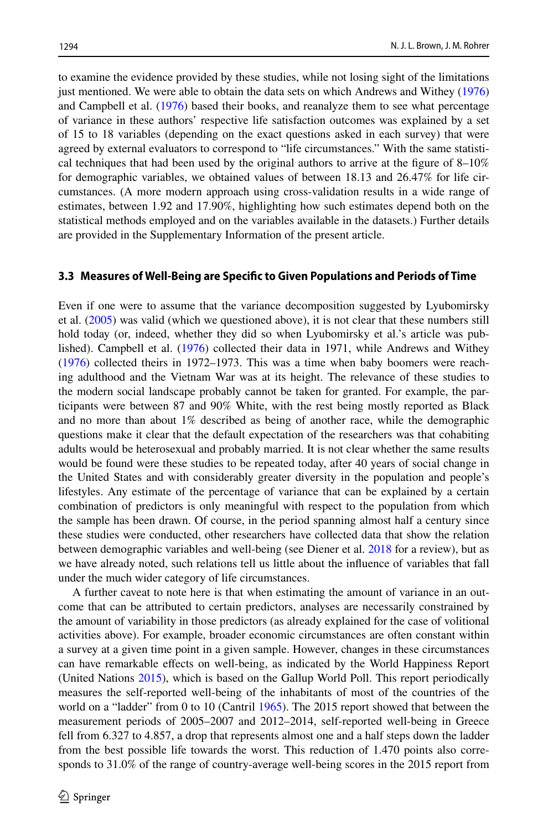to examine the evidence provided by these studies, while not losing sight of the limitations just mentioned. We were able to obtain the data sets on which Andrews and Withey [\(1976](#page-14-13)) and Campbell et al. [\(1976](#page-14-15)) based their books, and reanalyze them to see what percentage of variance in these authors' respective life satisfaction outcomes was explained by a set of 15 to 18 variables (depending on the exact questions asked in each survey) that were agreed by external evaluators to correspond to "life circumstances." With the same statistical techniques that had been used by the original authors to arrive at the figure of  $8-10\%$ for demographic variables, we obtained values of between 18.13 and 26.47% for life circumstances. (A more modern approach using cross-validation results in a wide range of estimates, between 1.92 and 17.90%, highlighting how such estimates depend both on the statistical methods employed and on the variables available in the datasets.) Further details are provided in the Supplementary Information of the present article.

#### **3.3 Measures of Well‑Being are Specifc to Given Populations and Periods of Time**

Even if one were to assume that the variance decomposition suggested by Lyubomirsky et al. [\(2005](#page-15-0)) was valid (which we questioned above), it is not clear that these numbers still hold today (or, indeed, whether they did so when Lyubomirsky et al.'s article was published). Campbell et al. [\(1976](#page-14-15)) collected their data in 1971, while Andrews and Withey ([1976\)](#page-14-13) collected theirs in 1972–1973. This was a time when baby boomers were reaching adulthood and the Vietnam War was at its height. The relevance of these studies to the modern social landscape probably cannot be taken for granted. For example, the participants were between 87 and 90% White, with the rest being mostly reported as Black and no more than about 1% described as being of another race, while the demographic questions make it clear that the default expectation of the researchers was that cohabiting adults would be heterosexual and probably married. It is not clear whether the same results would be found were these studies to be repeated today, after 40 years of social change in the United States and with considerably greater diversity in the population and people's lifestyles. Any estimate of the percentage of variance that can be explained by a certain combination of predictors is only meaningful with respect to the population from which the sample has been drawn. Of course, in the period spanning almost half a century since these studies were conducted, other researchers have collected data that show the relation between demographic variables and well-being (see Diener et al. [2018](#page-14-16) for a review), but as we have already noted, such relations tell us little about the infuence of variables that fall under the much wider category of life circumstances.

A further caveat to note here is that when estimating the amount of variance in an outcome that can be attributed to certain predictors, analyses are necessarily constrained by the amount of variability in those predictors (as already explained for the case of volitional activities above). For example, broader economic circumstances are often constant within a survey at a given time point in a given sample. However, changes in these circumstances can have remarkable efects on well-being, as indicated by the World Happiness Report (United Nations [2015\)](#page-16-16), which is based on the Gallup World Poll. This report periodically measures the self-reported well-being of the inhabitants of most of the countries of the world on a "ladder" from 0 to 10 (Cantril [1965](#page-14-17)). The 2015 report showed that between the measurement periods of 2005–2007 and 2012–2014, self-reported well-being in Greece fell from 6.327 to 4.857, a drop that represents almost one and a half steps down the ladder from the best possible life towards the worst. This reduction of 1.470 points also corresponds to 31.0% of the range of country-average well-being scores in the 2015 report from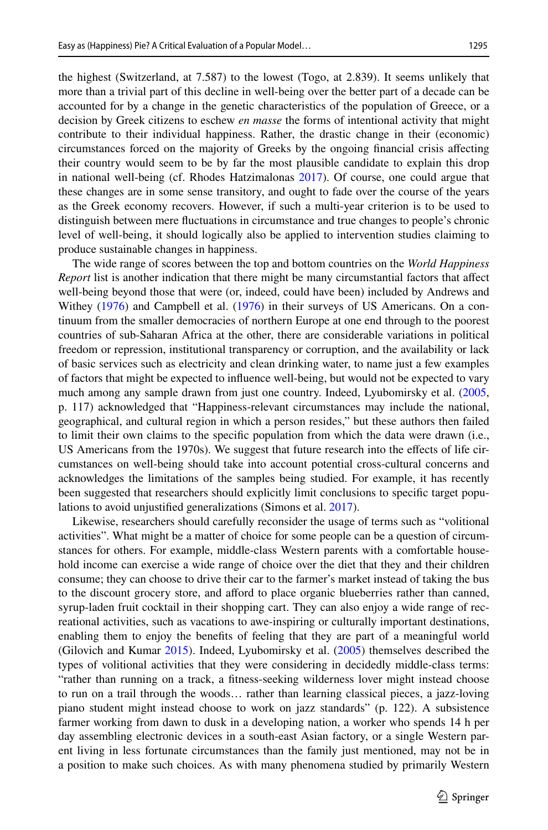the highest (Switzerland, at 7.587) to the lowest (Togo, at 2.839). It seems unlikely that more than a trivial part of this decline in well-being over the better part of a decade can be accounted for by a change in the genetic characteristics of the population of Greece, or a decision by Greek citizens to eschew *en masse* the forms of intentional activity that might contribute to their individual happiness. Rather, the drastic change in their (economic) circumstances forced on the majority of Greeks by the ongoing fnancial crisis afecting their country would seem to be by far the most plausible candidate to explain this drop in national well-being (cf. Rhodes Hatzimalonas [2017\)](#page-16-17). Of course, one could argue that these changes are in some sense transitory, and ought to fade over the course of the years as the Greek economy recovers. However, if such a multi-year criterion is to be used to distinguish between mere fuctuations in circumstance and true changes to people's chronic level of well-being, it should logically also be applied to intervention studies claiming to produce sustainable changes in happiness.

The wide range of scores between the top and bottom countries on the *World Happiness Report* list is another indication that there might be many circumstantial factors that affect well-being beyond those that were (or, indeed, could have been) included by Andrews and Withey [\(1976](#page-14-13)) and Campbell et al. ([1976\)](#page-14-15) in their surveys of US Americans. On a continuum from the smaller democracies of northern Europe at one end through to the poorest countries of sub-Saharan Africa at the other, there are considerable variations in political freedom or repression, institutional transparency or corruption, and the availability or lack of basic services such as electricity and clean drinking water, to name just a few examples of factors that might be expected to infuence well-being, but would not be expected to vary much among any sample drawn from just one country. Indeed, Lyubomirsky et al. [\(2005](#page-15-0), p. 117) acknowledged that "Happiness-relevant circumstances may include the national, geographical, and cultural region in which a person resides," but these authors then failed to limit their own claims to the specifc population from which the data were drawn (i.e., US Americans from the 1970s). We suggest that future research into the efects of life circumstances on well-being should take into account potential cross-cultural concerns and acknowledges the limitations of the samples being studied. For example, it has recently been suggested that researchers should explicitly limit conclusions to specifc target populations to avoid unjustifed generalizations (Simons et al. [2017](#page-16-18)).

Likewise, researchers should carefully reconsider the usage of terms such as "volitional activities". What might be a matter of choice for some people can be a question of circumstances for others. For example, middle-class Western parents with a comfortable household income can exercise a wide range of choice over the diet that they and their children consume; they can choose to drive their car to the farmer's market instead of taking the bus to the discount grocery store, and aford to place organic blueberries rather than canned, syrup-laden fruit cocktail in their shopping cart. They can also enjoy a wide range of recreational activities, such as vacations to awe-inspiring or culturally important destinations, enabling them to enjoy the benefts of feeling that they are part of a meaningful world (Gilovich and Kumar [2015](#page-14-18)). Indeed, Lyubomirsky et al. ([2005\)](#page-15-0) themselves described the types of volitional activities that they were considering in decidedly middle-class terms: "rather than running on a track, a ftness-seeking wilderness lover might instead choose to run on a trail through the woods… rather than learning classical pieces, a jazz-loving piano student might instead choose to work on jazz standards" (p. 122). A subsistence farmer working from dawn to dusk in a developing nation, a worker who spends 14 h per day assembling electronic devices in a south-east Asian factory, or a single Western parent living in less fortunate circumstances than the family just mentioned, may not be in a position to make such choices. As with many phenomena studied by primarily Western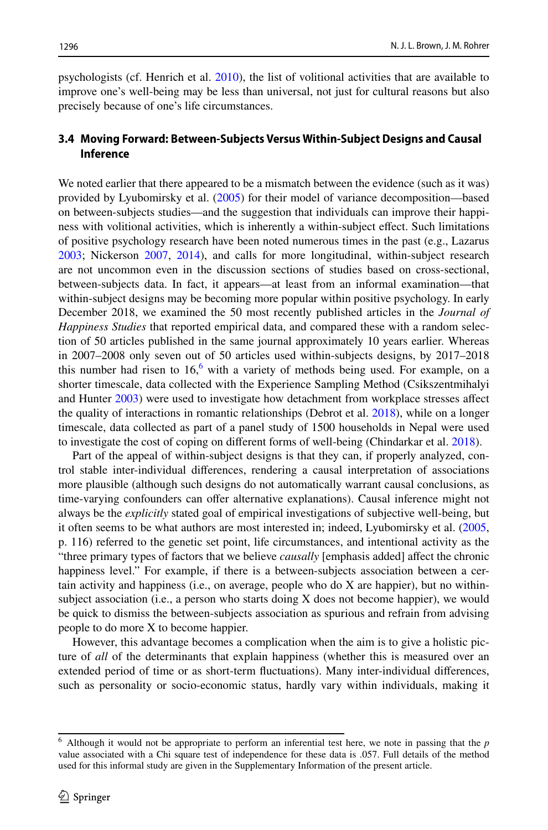psychologists (cf. Henrich et al. [2010\)](#page-15-16), the list of volitional activities that are available to improve one's well-being may be less than universal, not just for cultural reasons but also precisely because of one's life circumstances.

### **3.4 Moving Forward: Between‑Subjects Versus Within‑Subject Designs and Causal Inference**

We noted earlier that there appeared to be a mismatch between the evidence (such as it was) provided by Lyubomirsky et al. ([2005\)](#page-15-0) for their model of variance decomposition—based on between-subjects studies—and the suggestion that individuals can improve their happiness with volitional activities, which is inherently a within-subject efect. Such limitations of positive psychology research have been noted numerous times in the past (e.g., Lazarus [2003;](#page-15-17) Nickerson [2007,](#page-15-18) [2014\)](#page-15-19), and calls for more longitudinal, within-subject research are not uncommon even in the discussion sections of studies based on cross-sectional, between-subjects data. In fact, it appears—at least from an informal examination—that within-subject designs may be becoming more popular within positive psychology. In early December 2018, we examined the 50 most recently published articles in the *Journal of Happiness Studies* that reported empirical data, and compared these with a random selection of 50 articles published in the same journal approximately 10 years earlier. Whereas in 2007–2008 only seven out of 50 articles used within-subjects designs, by 2017–2018 this number had risen to  $16<sup>6</sup>$  with a variety of methods being used. For example, on a shorter timescale, data collected with the Experience Sampling Method (Csikszentmihalyi and Hunter [2003](#page-14-19)) were used to investigate how detachment from workplace stresses afect the quality of interactions in romantic relationships (Debrot et al. [2018\)](#page-14-20), while on a longer timescale, data collected as part of a panel study of 1500 households in Nepal were used to investigate the cost of coping on diferent forms of well-being (Chindarkar et al. [2018](#page-14-21)).

Part of the appeal of within-subject designs is that they can, if properly analyzed, control stable inter-individual diferences, rendering a causal interpretation of associations more plausible (although such designs do not automatically warrant causal conclusions, as time-varying confounders can offer alternative explanations). Causal inference might not always be the *explicitly* stated goal of empirical investigations of subjective well-being, but it often seems to be what authors are most interested in; indeed, Lyubomirsky et al. [\(2005](#page-15-0), p. 116) referred to the genetic set point, life circumstances, and intentional activity as the "three primary types of factors that we believe *causally* [emphasis added] afect the chronic happiness level." For example, if there is a between-subjects association between a certain activity and happiness (i.e., on average, people who do X are happier), but no withinsubject association (i.e., a person who starts doing X does not become happier), we would be quick to dismiss the between-subjects association as spurious and refrain from advising people to do more X to become happier.

However, this advantage becomes a complication when the aim is to give a holistic picture of *all* of the determinants that explain happiness (whether this is measured over an extended period of time or as short-term fuctuations). Many inter-individual diferences, such as personality or socio-economic status, hardly vary within individuals, making it

<span id="page-11-0"></span><sup>6</sup> Although it would not be appropriate to perform an inferential test here, we note in passing that the *p* value associated with a Chi square test of independence for these data is .057. Full details of the method used for this informal study are given in the Supplementary Information of the present article.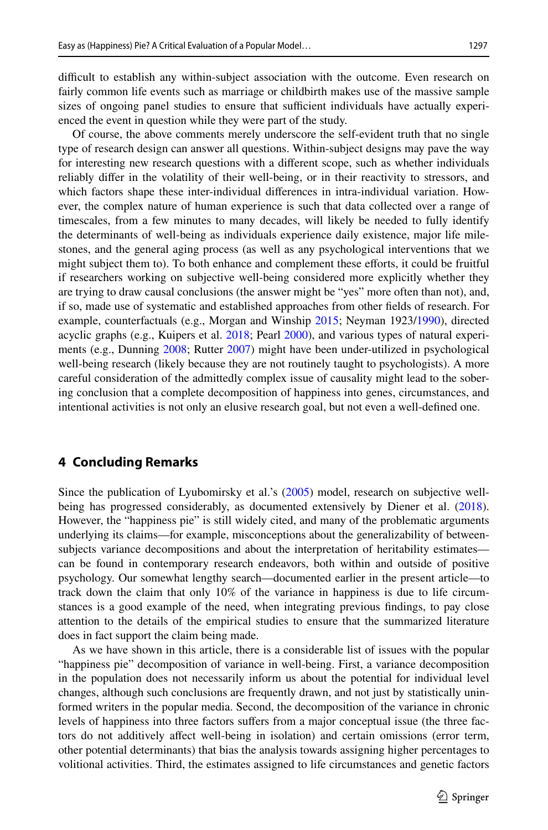difficult to establish any within-subject association with the outcome. Even research on fairly common life events such as marriage or childbirth makes use of the massive sample sizes of ongoing panel studies to ensure that sufficient individuals have actually experienced the event in question while they were part of the study.

Of course, the above comments merely underscore the self-evident truth that no single type of research design can answer all questions. Within-subject designs may pave the way for interesting new research questions with a diferent scope, such as whether individuals reliably difer in the volatility of their well-being, or in their reactivity to stressors, and which factors shape these inter-individual diferences in intra-individual variation. However, the complex nature of human experience is such that data collected over a range of timescales, from a few minutes to many decades, will likely be needed to fully identify the determinants of well-being as individuals experience daily existence, major life milestones, and the general aging process (as well as any psychological interventions that we might subject them to). To both enhance and complement these eforts, it could be fruitful if researchers working on subjective well-being considered more explicitly whether they are trying to draw causal conclusions (the answer might be "yes" more often than not), and, if so, made use of systematic and established approaches from other felds of research. For example, counterfactuals (e.g., Morgan and Winship [2015;](#page-15-20) Neyman 1923[/1990](#page-15-21)), directed acyclic graphs (e.g., Kuipers et al.  $2018$ ; Pearl  $2000$ ), and various types of natural experiments (e.g., Dunning [2008;](#page-14-22) Rutter [2007](#page-16-19)) might have been under-utilized in psychological well-being research (likely because they are not routinely taught to psychologists). A more careful consideration of the admittedly complex issue of causality might lead to the sobering conclusion that a complete decomposition of happiness into genes, circumstances, and intentional activities is not only an elusive research goal, but not even a well-defned one.

#### **4 Concluding Remarks**

Since the publication of Lyubomirsky et al.'s [\(2005](#page-15-0)) model, research on subjective wellbeing has progressed considerably, as documented extensively by Diener et al. [\(2018](#page-14-16)). However, the "happiness pie" is still widely cited, and many of the problematic arguments underlying its claims—for example, misconceptions about the generalizability of betweensubjects variance decompositions and about the interpretation of heritability estimates can be found in contemporary research endeavors, both within and outside of positive psychology. Our somewhat lengthy search—documented earlier in the present article—to track down the claim that only 10% of the variance in happiness is due to life circumstances is a good example of the need, when integrating previous fndings, to pay close attention to the details of the empirical studies to ensure that the summarized literature does in fact support the claim being made.

As we have shown in this article, there is a considerable list of issues with the popular "happiness pie" decomposition of variance in well-being. First, a variance decomposition in the population does not necessarily inform us about the potential for individual level changes, although such conclusions are frequently drawn, and not just by statistically uninformed writers in the popular media. Second, the decomposition of the variance in chronic levels of happiness into three factors sufers from a major conceptual issue (the three factors do not additively afect well-being in isolation) and certain omissions (error term, other potential determinants) that bias the analysis towards assigning higher percentages to volitional activities. Third, the estimates assigned to life circumstances and genetic factors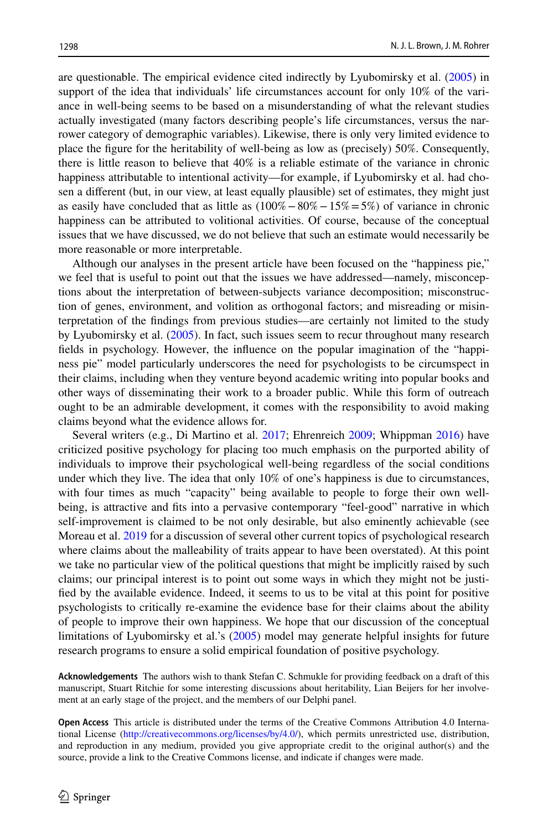are questionable. The empirical evidence cited indirectly by Lyubomirsky et al. [\(2005](#page-15-0)) in support of the idea that individuals' life circumstances account for only 10% of the variance in well-being seems to be based on a misunderstanding of what the relevant studies actually investigated (many factors describing people's life circumstances, versus the narrower category of demographic variables). Likewise, there is only very limited evidence to place the fgure for the heritability of well-being as low as (precisely) 50%. Consequently, there is little reason to believe that 40% is a reliable estimate of the variance in chronic happiness attributable to intentional activity—for example, if Lyubomirsky et al. had chosen a diferent (but, in our view, at least equally plausible) set of estimates, they might just as easily have concluded that as little as  $(100\% - 80\% - 15\% = 5\%)$  of variance in chronic happiness can be attributed to volitional activities. Of course, because of the conceptual issues that we have discussed, we do not believe that such an estimate would necessarily be more reasonable or more interpretable.

Although our analyses in the present article have been focused on the "happiness pie," we feel that is useful to point out that the issues we have addressed—namely, misconceptions about the interpretation of between-subjects variance decomposition; misconstruction of genes, environment, and volition as orthogonal factors; and misreading or misinterpretation of the fndings from previous studies—are certainly not limited to the study by Lyubomirsky et al. ([2005\)](#page-15-0). In fact, such issues seem to recur throughout many research felds in psychology. However, the infuence on the popular imagination of the "happiness pie" model particularly underscores the need for psychologists to be circumspect in their claims, including when they venture beyond academic writing into popular books and other ways of disseminating their work to a broader public. While this form of outreach ought to be an admirable development, it comes with the responsibility to avoid making claims beyond what the evidence allows for.

Several writers (e.g., Di Martino et al. [2017](#page-14-23); Ehrenreich [2009;](#page-14-24) Whippman [2016\)](#page-16-8) have criticized positive psychology for placing too much emphasis on the purported ability of individuals to improve their psychological well-being regardless of the social conditions under which they live. The idea that only 10% of one's happiness is due to circumstances, with four times as much "capacity" being available to people to forge their own wellbeing, is attractive and fts into a pervasive contemporary "feel-good" narrative in which self-improvement is claimed to be not only desirable, but also eminently achievable (see Moreau et al. [2019](#page-15-24) for a discussion of several other current topics of psychological research where claims about the malleability of traits appear to have been overstated). At this point we take no particular view of the political questions that might be implicitly raised by such claims; our principal interest is to point out some ways in which they might not be justifed by the available evidence. Indeed, it seems to us to be vital at this point for positive psychologists to critically re-examine the evidence base for their claims about the ability of people to improve their own happiness. We hope that our discussion of the conceptual limitations of Lyubomirsky et al.'s ([2005\)](#page-15-0) model may generate helpful insights for future research programs to ensure a solid empirical foundation of positive psychology.

**Acknowledgements** The authors wish to thank Stefan C. Schmukle for providing feedback on a draft of this manuscript, Stuart Ritchie for some interesting discussions about heritability, Lian Beijers for her involvement at an early stage of the project, and the members of our Delphi panel.

**Open Access** This article is distributed under the terms of the Creative Commons Attribution 4.0 International License ([http://creativecommons.org/licenses/by/4.0/\)](http://creativecommons.org/licenses/by/4.0/), which permits unrestricted use, distribution, and reproduction in any medium, provided you give appropriate credit to the original author(s) and the source, provide a link to the Creative Commons license, and indicate if changes were made.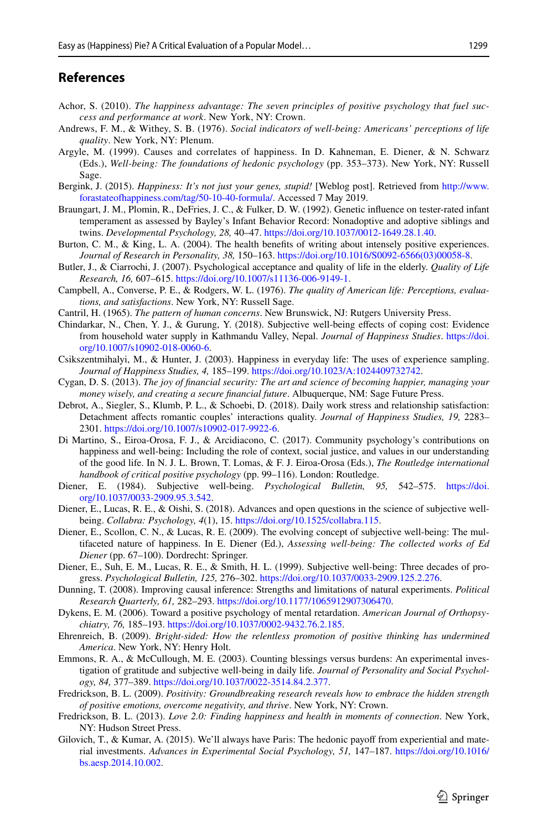### **References**

- <span id="page-14-6"></span>Achor, S. (2010). *The happiness advantage: The seven principles of positive psychology that fuel success and performance at work*. New York, NY: Crown.
- <span id="page-14-13"></span>Andrews, F. M., & Withey, S. B. (1976). *Social indicators of well-being: Americans' perceptions of life quality*. New York, NY: Plenum.
- <span id="page-14-11"></span>Argyle, M. (1999). Causes and correlates of happiness. In D. Kahneman, E. Diener, & N. Schwarz (Eds.), *Well-being: The foundations of hedonic psychology* (pp. 353–373). New York, NY: Russell Sage.
- <span id="page-14-8"></span>Bergink, J. (2015). *Happiness: It's not just your genes, stupid!* [Weblog post]. Retrieved from [http://www.](http://www.forastateofhappiness.com/tag/50-10-40-formula/) [forastateofhappiness.com/tag/50-10-40-formula/.](http://www.forastateofhappiness.com/tag/50-10-40-formula/) Accessed 7 May 2019.
- <span id="page-14-10"></span>Braungart, J. M., Plomin, R., DeFries, J. C., & Fulker, D. W. (1992). Genetic infuence on tester-rated infant temperament as assessed by Bayley's Infant Behavior Record: Nonadoptive and adoptive siblings and twins. *Developmental Psychology, 28,* 40–47. <https://doi.org/10.1037/0012-1649.28.1.40>.
- <span id="page-14-1"></span>Burton, C. M., & King, L. A. (2004). The health benefits of writing about intensely positive experiences. *Journal of Research in Personality, 38,* 150–163. [https://doi.org/10.1016/S0092-6566\(03\)00058-8](https://doi.org/10.1016/S0092-6566(03)00058-8).
- <span id="page-14-4"></span>Butler, J., & Ciarrochi, J. (2007). Psychological acceptance and quality of life in the elderly. *Quality of Life Research, 16,* 607–615. [https://doi.org/10.1007/s11136-006-9149-1.](https://doi.org/10.1007/s11136-006-9149-1)
- <span id="page-14-15"></span>Campbell, A., Converse, P. E., & Rodgers, W. L. (1976). *The quality of American life: Perceptions, evaluations, and satisfactions*. New York, NY: Russell Sage.
- <span id="page-14-17"></span>Cantril, H. (1965). *The pattern of human concerns*. New Brunswick, NJ: Rutgers University Press.
- <span id="page-14-21"></span>Chindarkar, N., Chen, Y. J., & Gurung, Y. (2018). Subjective well-being efects of coping cost: Evidence from household water supply in Kathmandu Valley, Nepal. *Journal of Happiness Studies*. [https://doi.](https://doi.org/10.1007/s10902-018-0060-6) [org/10.1007/s10902-018-0060-6.](https://doi.org/10.1007/s10902-018-0060-6)
- <span id="page-14-19"></span>Csikszentmihalyi, M., & Hunter, J. (2003). Happiness in everyday life: The uses of experience sampling. *Journal of Happiness Studies, 4,* 185–199. <https://doi.org/10.1023/A:1024409732742>.
- <span id="page-14-9"></span>Cygan, D. S. (2013). *The joy of fnancial security: The art and science of becoming happier, managing your money wisely, and creating a secure fnancial future*. Albuquerque, NM: Sage Future Press.
- <span id="page-14-20"></span>Debrot, A., Siegler, S., Klumb, P. L., & Schoebi, D. (2018). Daily work stress and relationship satisfaction: Detachment afects romantic couples' interactions quality. *Journal of Happiness Studies, 19,* 2283– 2301. <https://doi.org/10.1007/s10902-017-9922-6>.
- <span id="page-14-23"></span>Di Martino, S., Eiroa-Orosa, F. J., & Arcidiacono, C. (2017). Community psychology's contributions on happiness and well-being: Including the role of context, social justice, and values in our understanding of the good life. In N. J. L. Brown, T. Lomas, & F. J. Eiroa-Orosa (Eds.), *The Routledge international handbook of critical positive psychology* (pp. 99–116). London: Routledge.
- <span id="page-14-14"></span>Diener, E. (1984). Subjective well-being. *Psychological Bulletin, 95,* 542–575. [https://doi.](https://doi.org/10.1037/0033-2909.95.3.542) [org/10.1037/0033-2909.95.3.542](https://doi.org/10.1037/0033-2909.95.3.542).
- <span id="page-14-16"></span>Diener, E., Lucas, R. E., & Oishi, S. (2018). Advances and open questions in the science of subjective wellbeing. *Collabra: Psychology, 4*(1), 15. [https://doi.org/10.1525/collabra.115.](https://doi.org/10.1525/collabra.115)
- <span id="page-14-3"></span>Diener, E., Scollon, C. N., & Lucas, R. E. (2009). The evolving concept of subjective well-being: The multifaceted nature of happiness. In E. Diener (Ed.), *Assessing well-being: The collected works of Ed Diener* (pp. 67–100). Dordrecht: Springer.
- <span id="page-14-12"></span>Diener, E., Suh, E. M., Lucas, R. E., & Smith, H. L. (1999). Subjective well-being: Three decades of progress. *Psychological Bulletin, 125,* 276–302. [https://doi.org/10.1037/0033-2909.125.2.276.](https://doi.org/10.1037/0033-2909.125.2.276)
- <span id="page-14-22"></span>Dunning, T. (2008). Improving causal inference: Strengths and limitations of natural experiments. *Political Research Quarterly, 61,* 282–293. [https://doi.org/10.1177/1065912907306470.](https://doi.org/10.1177/1065912907306470)
- <span id="page-14-5"></span>Dykens, E. M. (2006). Toward a positive psychology of mental retardation. *American Journal of Orthopsychiatry, 76,* 185–193.<https://doi.org/10.1037/0002-9432.76.2.185>.
- <span id="page-14-24"></span>Ehrenreich, B. (2009). *Bright-sided: How the relentless promotion of positive thinking has undermined America*. New York, NY: Henry Holt.
- <span id="page-14-0"></span>Emmons, R. A., & McCullough, M. E. (2003). Counting blessings versus burdens: An experimental investigation of gratitude and subjective well-being in daily life. *Journal of Personality and Social Psychology, 84,* 377–389.<https://doi.org/10.1037/0022-3514.84.2.377>.
- <span id="page-14-7"></span>Fredrickson, B. L. (2009). *Positivity: Groundbreaking research reveals how to embrace the hidden strength of positive emotions, overcome negativity, and thrive*. New York, NY: Crown.
- <span id="page-14-2"></span>Fredrickson, B. L. (2013). *Love 2.0: Finding happiness and health in moments of connection*. New York, NY: Hudson Street Press.
- <span id="page-14-18"></span>Gilovich, T., & Kumar, A. (2015). We'll always have Paris: The hedonic payoff from experiential and material investments. *Advances in Experimental Social Psychology, 51,* 147–187. [https://doi.org/10.1016/](https://doi.org/10.1016/bs.aesp.2014.10.002) [bs.aesp.2014.10.002](https://doi.org/10.1016/bs.aesp.2014.10.002).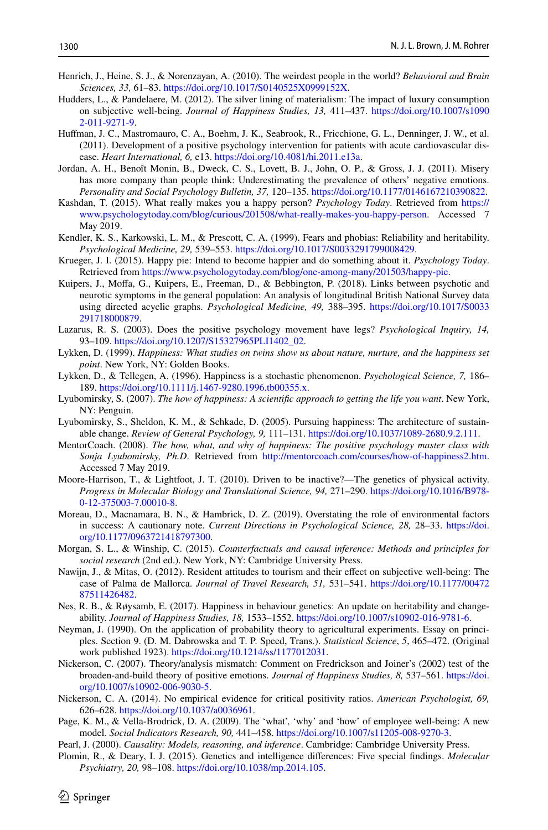- <span id="page-15-16"></span>Henrich, J., Heine, S. J., & Norenzayan, A. (2010). The weirdest people in the world? *Behavioral and Brain Sciences, 33,* 61–83. [https://doi.org/10.1017/S0140525X0999152X.](https://doi.org/10.1017/S0140525X0999152X)
- <span id="page-15-4"></span>Hudders, L., & Pandelaere, M. (2012). The silver lining of materialism: The impact of luxury consumption on subjective well-being. *Journal of Happiness Studies, 13,* 411–437. [https://doi.org/10.1007/s1090](https://doi.org/10.1007/s10902-011-9271-9) [2-011-9271-9.](https://doi.org/10.1007/s10902-011-9271-9)
- <span id="page-15-6"></span>Hufman, J. C., Mastromauro, C. A., Boehm, J. K., Seabrook, R., Fricchione, G. L., Denninger, J. W., et al. (2011). Development of a positive psychology intervention for patients with acute cardiovascular disease. *Heart International, 6,* e13. [https://doi.org/10.4081/hi.2011.e13a.](https://doi.org/10.4081/hi.2011.e13a)
- <span id="page-15-5"></span>Jordan, A. H., Benoît Monin, B., Dweck, C. S., Lovett, B. J., John, O. P., & Gross, J. J. (2011). Misery has more company than people think: Underestimating the prevalence of others' negative emotions. *Personality and Social Psychology Bulletin, 37,* 120–135. <https://doi.org/10.1177/0146167210390822>.
- <span id="page-15-10"></span>Kashdan, T. (2015). What really makes you a happy person? *Psychology Today*. Retrieved from [https://](https://www.psychologytoday.com/blog/curious/201508/what-really-makes-you-happy-person) [www.psychologytoday.com/blog/curious/201508/what-really-makes-you-happy-person](https://www.psychologytoday.com/blog/curious/201508/what-really-makes-you-happy-person). Accessed 7 May 2019.
- <span id="page-15-14"></span>Kendler, K. S., Karkowski, L. M., & Prescott, C. A. (1999). Fears and phobias: Reliability and heritability. *Psychological Medicine, 29,* 539–553. [https://doi.org/10.1017/S0033291799008429.](https://doi.org/10.1017/S0033291799008429)
- <span id="page-15-11"></span>Krueger, J. I. (2015). Happy pie: Intend to become happier and do something about it. *Psychology Today*. Retrieved from [https://www.psychologytoday.com/blog/one-among-many/201503/happy-pie.](https://www.psychologytoday.com/blog/one-among-many/201503/happy-pie)
- <span id="page-15-22"></span>Kuipers, J., Moffa, G., Kuipers, E., Freeman, D., & Bebbington, P. (2018). Links between psychotic and neurotic symptoms in the general population: An analysis of longitudinal British National Survey data using directed acyclic graphs. *Psychological Medicine, 49,* 388–395. [https://doi.org/10.1017/S0033](https://doi.org/10.1017/S0033291718000879) [291718000879.](https://doi.org/10.1017/S0033291718000879)
- <span id="page-15-17"></span>Lazarus, R. S. (2003). Does the positive psychology movement have legs? *Psychological Inquiry, 14,* 93–109. [https://doi.org/10.1207/S15327965PLI1402\\_02.](https://doi.org/10.1207/S15327965PLI1402_02)
- <span id="page-15-1"></span>Lykken, D. (1999). *Happiness: What studies on twins show us about nature, nurture, and the happiness set point*. New York, NY: Golden Books.
- <span id="page-15-2"></span>Lykken, D., & Tellegen, A. (1996). Happiness is a stochastic phenomenon. *Psychological Science, 7,* 186– 189. <https://doi.org/10.1111/j.1467-9280.1996.tb00355.x>.
- <span id="page-15-8"></span>Lyubomirsky, S. (2007). *The how of happiness: A scientifc approach to getting the life you want*. New York, NY: Penguin.
- <span id="page-15-0"></span>Lyubomirsky, S., Sheldon, K. M., & Schkade, D. (2005). Pursuing happiness: The architecture of sustainable change. *Review of General Psychology, 9,* 111–131.<https://doi.org/10.1037/1089-2680.9.2.111>.
- <span id="page-15-9"></span>MentorCoach. (2008). *The how, what, and why of happiness: The positive psychology master class with Sonja Lyubomirsky, Ph.D*. Retrieved from [http://mentorcoach.com/courses/how-of-happiness2.htm.](http://mentorcoach.com/courses/how-of-happiness2.htm) Accessed 7 May 2019.
- <span id="page-15-12"></span>Moore-Harrison, T., & Lightfoot, J. T. (2010). Driven to be inactive?—The genetics of physical activity. *Progress in Molecular Biology and Translational Science, 94,* 271–290. [https://doi.org/10.1016/B978-](https://doi.org/10.1016/B978-0-12-375003-7.00010-8) [0-12-375003-7.00010-8](https://doi.org/10.1016/B978-0-12-375003-7.00010-8).
- <span id="page-15-24"></span>Moreau, D., Macnamara, B. N., & Hambrick, D. Z. (2019). Overstating the role of environmental factors in success: A cautionary note. *Current Directions in Psychological Science, 28,* 28–33. [https://doi.](https://doi.org/10.1177/0963721418797300) [org/10.1177/0963721418797300.](https://doi.org/10.1177/0963721418797300)
- <span id="page-15-20"></span>Morgan, S. L., & Winship, C. (2015). *Counterfactuals and causal inference: Methods and principles for social research* (2nd ed.). New York, NY: Cambridge University Press.
- <span id="page-15-7"></span>Nawijn, J., & Mitas, O. (2012). Resident attitudes to tourism and their effect on subjective well-being: The case of Palma de Mallorca. *Journal of Travel Research, 51,* 531–541. [https://doi.org/10.1177/00472](https://doi.org/10.1177/0047287511426482) [87511426482.](https://doi.org/10.1177/0047287511426482)
- <span id="page-15-15"></span>Nes, R. B., & Røysamb, E. (2017). Happiness in behaviour genetics: An update on heritability and changeability. *Journal of Happiness Studies, 18,* 1533–1552. <https://doi.org/10.1007/s10902-016-9781-6>.
- <span id="page-15-21"></span>Neyman, J. (1990). On the application of probability theory to agricultural experiments. Essay on principles. Section 9. (D. M. Dabrowska and T. P. Speed, Trans.). *Statistical Science*, *5*, 465–472. (Original work published 1923). [https://doi.org/10.1214/ss/1177012031.](https://doi.org/10.1214/ss/1177012031)
- <span id="page-15-18"></span>Nickerson, C. (2007). Theory/analysis mismatch: Comment on Fredrickson and Joiner's (2002) test of the broaden-and-build theory of positive emotions. *Journal of Happiness Studies, 8,* 537–561. [https://doi.](https://doi.org/10.1007/s10902-006-9030-5) [org/10.1007/s10902-006-9030-5.](https://doi.org/10.1007/s10902-006-9030-5)
- <span id="page-15-19"></span>Nickerson, C. A. (2014). No empirical evidence for critical positivity ratios. *American Psychologist, 69,* 626–628. [https://doi.org/10.1037/a0036961.](https://doi.org/10.1037/a0036961)
- <span id="page-15-3"></span>Page, K. M., & Vella-Brodrick, D. A. (2009). The 'what', 'why' and 'how' of employee well-being: A new model. *Social Indicators Research, 90,* 441–458. <https://doi.org/10.1007/s11205-008-9270-3>.
- <span id="page-15-23"></span>Pearl, J. (2000). *Causality: Models, reasoning, and inference*. Cambridge: Cambridge University Press.
- <span id="page-15-13"></span>Plomin, R., & Deary, I. J. (2015). Genetics and intelligence diferences: Five special fndings. *Molecular Psychiatry, 20,* 98–108. [https://doi.org/10.1038/mp.2014.105.](https://doi.org/10.1038/mp.2014.105)